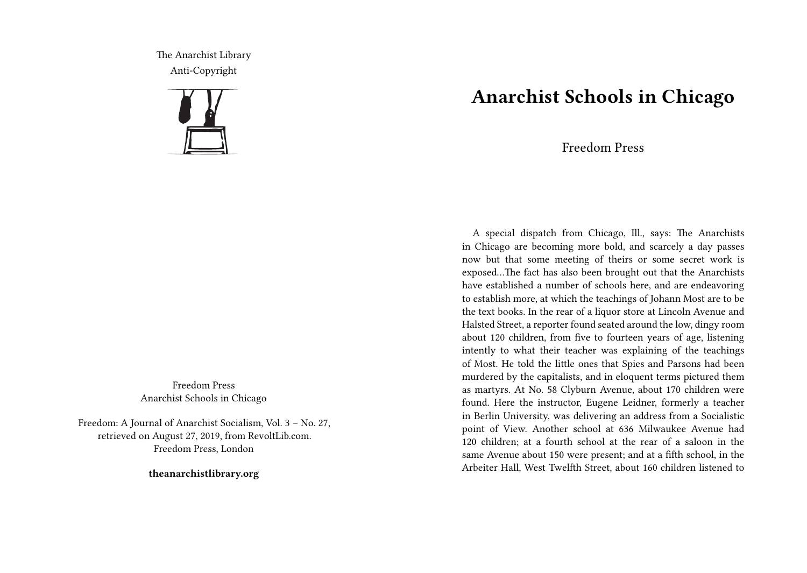The Anarchist Library Anti-Copyright



Freedom Press Anarchist Schools in Chicago

Freedom: A Journal of Anarchist Socialism, Vol. 3 – No. 27, retrieved on August 27, 2019, from RevoltLib.com. Freedom Press, London

**theanarchistlibrary.org**

## **Anarchist Schools in Chicago**

Freedom Press

A special dispatch from Chicago, Ill., says: The Anarchists in Chicago are becoming more bold, and scarcely a day passes now but that some meeting of theirs or some secret work is exposed…The fact has also been brought out that the Anarchists have established a number of schools here, and are endeavoring to establish more, at which the teachings of Johann Most are to be the text books. In the rear of a liquor store at Lincoln Avenue and Halsted Street, a reporter found seated around the low, dingy room about 120 children, from five to fourteen years of age, listening intently to what their teacher was explaining of the teachings of Most. He told the little ones that Spies and Parsons had been murdered by the capitalists, and in eloquent terms pictured them as martyrs. At No. 58 Clyburn Avenue, about 170 children were found. Here the instructor, Eugene Leidner, formerly a teacher in Berlin University, was delivering an address from a Socialistic point of View. Another school at 636 Milwaukee Avenue had 120 children; at a fourth school at the rear of a saloon in the same Avenue about 150 were present; and at a fifth school, in the Arbeiter Hall, West Twelfth Street, about 160 children listened to